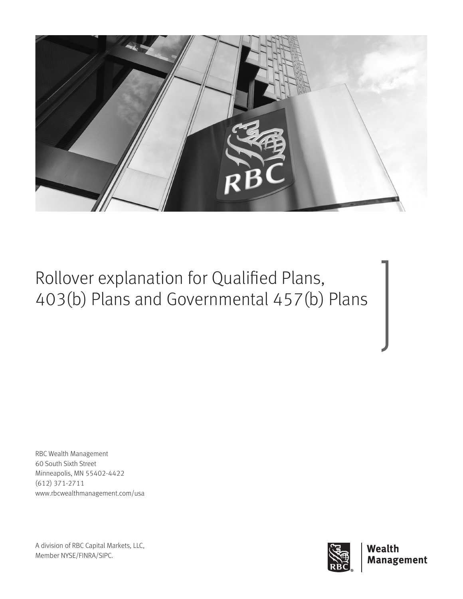

Rollover explanation for Qualified Plans, 403(b) Plans and Governmental 457(b) Plans

RBC Wealth Management 60 South Sixth Street Minneapolis, MN 55402-4422 (612) 371-2711 www.rbcwealthmanagement.com/usa

A division of RBC Capital Markets, LLC, Member NYSE/FINRA/SIPC.

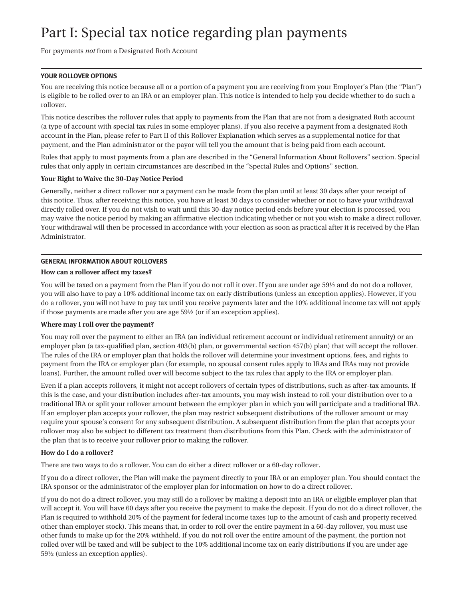# Part I: Special tax notice regarding plan payments

For payments *not* from a Designated Roth Account

## **YOUR ROLLOVER OPTIONS**

You are receiving this notice because all or a portion of a payment you are receiving from your Employer's Plan (the "Plan") is eligible to be rolled over to an IRA or an employer plan. This notice is intended to help you decide whether to do such a rollover.

This notice describes the rollover rules that apply to payments from the Plan that are not from a designated Roth account (a type of account with special tax rules in some employer plans). If you also receive a payment from a designated Roth account in the Plan, please refer to Part II of this Rollover Explanation which serves as a supplemental notice for that payment, and the Plan administrator or the payor will tell you the amount that is being paid from each account.

Rules that apply to most payments from a plan are described in the "General Information About Rollovers" section. Special rules that only apply in certain circumstances are described in the "Special Rules and Options" section.

## **Your Right to Waive the 30-Day Notice Period**

Generally, neither a direct rollover nor a payment can be made from the plan until at least 30 days after your receipt of this notice. Thus, after receiving this notice, you have at least 30 days to consider whether or not to have your withdrawal directly rolled over. If you do not wish to wait until this 30-day notice period ends before your election is processed, you may waive the notice period by making an affirmative election indicating whether or not you wish to make a direct rollover. Your withdrawal will then be processed in accordance with your election as soon as practical after it is received by the Plan Administrator.

## **GENERAL INFORMATION ABOUT ROLLOVERS**

#### **How can a rollover affect my taxes?**

You will be taxed on a payment from the Plan if you do not roll it over. If you are under age 59½ and do not do a rollover, you will also have to pay a 10% additional income tax on early distributions (unless an exception applies). However, if you do a rollover, you will not have to pay tax until you receive payments later and the 10% additional income tax will not apply if those payments are made after you are age 59½ (or if an exception applies).

#### **Where may I roll over the payment?**

You may roll over the payment to either an IRA (an individual retirement account or individual retirement annuity) or an employer plan (a tax-qualified plan, section 403(b) plan, or governmental section 457(b) plan) that will accept the rollover. The rules of the IRA or employer plan that holds the rollover will determine your investment options, fees, and rights to payment from the IRA or employer plan (for example, no spousal consent rules apply to IRAs and IRAs may not provide loans). Further, the amount rolled over will become subject to the tax rules that apply to the IRA or employer plan.

Even if a plan accepts rollovers, it might not accept rollovers of certain types of distributions, such as after-tax amounts. If this is the case, and your distribution includes after-tax amounts, you may wish instead to roll your distribution over to a traditional IRA or split your rollover amount between the employer plan in which you will participate and a traditional IRA. If an employer plan accepts your rollover, the plan may restrict subsequent distributions of the rollover amount or may require your spouse's consent for any subsequent distribution. A subsequent distribution from the plan that accepts your rollover may also be subject to different tax treatment than distributions from this Plan. Check with the administrator of the plan that is to receive your rollover prior to making the rollover.

#### **How do I do a rollover?**

There are two ways to do a rollover. You can do either a direct rollover or a 60-day rollover.

If you do a direct rollover, the Plan will make the payment directly to your IRA or an employer plan. You should contact the IRA sponsor or the administrator of the employer plan for information on how to do a direct rollover.

If you do not do a direct rollover, you may still do a rollover by making a deposit into an IRA or eligible employer plan that will accept it. You will have 60 days after you receive the payment to make the deposit. If you do not do a direct rollover, the Plan is required to withhold 20% of the payment for federal income taxes (up to the amount of cash and property received other than employer stock). This means that, in order to roll over the entire payment in a 60-day rollover, you must use other funds to make up for the 20% withheld. If you do not roll over the entire amount of the payment, the portion not rolled over will be taxed and will be subject to the 10% additional income tax on early distributions if you are under age 59½ (unless an exception applies).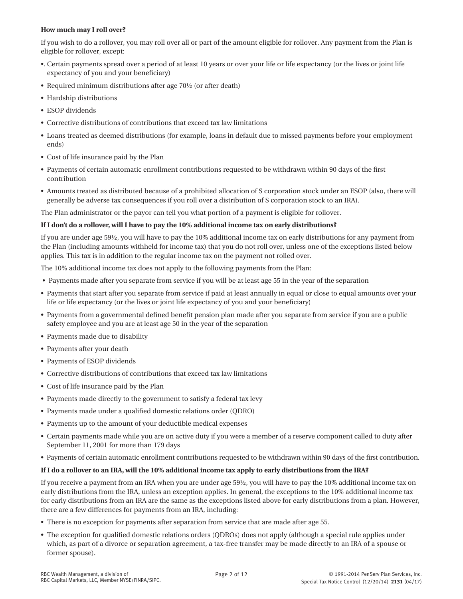# **How much may I roll over?**

If you wish to do a rollover, you may roll over all or part of the amount eligible for rollover. Any payment from the Plan is eligible for rollover, except:

- •. Certain payments spread over a period of at least 10 years or over your life or life expectancy (or the lives or joint life expectancy of you and your beneficiary)
- Required minimum distributions after age 70½ (or after death)
- Hardship distributions
- ESOP dividends
- Corrective distributions of contributions that exceed tax law limitations
- Loans treated as deemed distributions (for example, loans in default due to missed payments before your employment ends)
- Cost of life insurance paid by the Plan
- Payments of certain automatic enrollment contributions requested to be withdrawn within 90 days of the first contribution
- Amounts treated as distributed because of a prohibited allocation of S corporation stock under an ESOP (also, there will generally be adverse tax consequences if you roll over a distribution of S corporation stock to an IRA).

The Plan administrator or the payor can tell you what portion of a payment is eligible for rollover.

# **If I don't do a rollover, will I have to pay the 10% additional income tax on early distributions?**

If you are under age 59½, you will have to pay the 10% additional income tax on early distributions for any payment from the Plan (including amounts withheld for income tax) that you do not roll over, unless one of the exceptions listed below applies. This tax is in addition to the regular income tax on the payment not rolled over.

The 10% additional income tax does not apply to the following payments from the Plan:

- Payments made after you separate from service if you will be at least age 55 in the year of the separation
- Payments that start after you separate from service if paid at least annually in equal or close to equal amounts over your life or life expectancy (or the lives or joint life expectancy of you and your beneficiary)
- Payments from a governmental defined benefit pension plan made after you separate from service if you are a public safety employee and you are at least age 50 in the year of the separation
- Payments made due to disability
- Payments after your death
- Payments of ESOP dividends
- Corrective distributions of contributions that exceed tax law limitations
- Cost of life insurance paid by the Plan
- Payments made directly to the government to satisfy a federal tax levy
- Payments made under a qualified domestic relations order (QDRO)
- Payments up to the amount of your deductible medical expenses
- Certain payments made while you are on active duty if you were a member of a reserve component called to duty after September 11, 2001 for more than 179 days
- Payments of certain automatic enrollment contributions requested to be withdrawn within 90 days of the first contribution.

# **If I do a rollover to an IRA, will the 10% additional income tax apply to early distributions from the IRA?**

If you receive a payment from an IRA when you are under age 59½, you will have to pay the 10% additional income tax on early distributions from the IRA, unless an exception applies. In general, the exceptions to the 10% additional income tax for early distributions from an IRA are the same as the exceptions listed above for early distributions from a plan. However, there are a few differences for payments from an IRA, including:

- There is no exception for payments after separation from service that are made after age 55.
- The exception for qualified domestic relations orders (QDROs) does not apply (although a special rule applies under which, as part of a divorce or separation agreement, a tax-free transfer may be made directly to an IRA of a spouse or former spouse).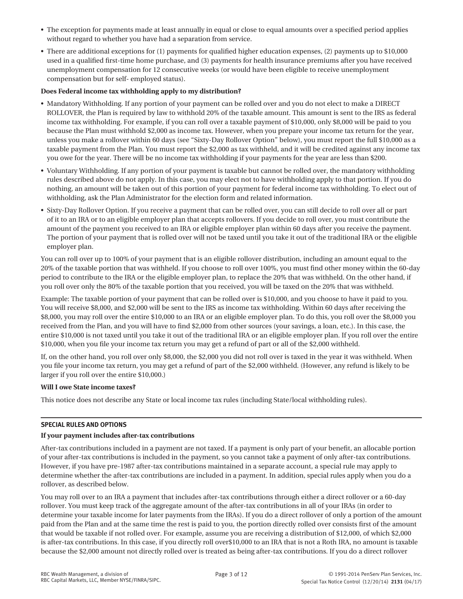- The exception for payments made at least annually in equal or close to equal amounts over a specified period applies without regard to whether you have had a separation from service.
- There are additional exceptions for (1) payments for qualified higher education expenses, (2) payments up to \$10,000 used in a qualified first-time home purchase, and (3) payments for health insurance premiums after you have received unemployment compensation for 12 consecutive weeks (or would have been eligible to receive unemployment compensation but for self- employed status).

## **Does Federal income tax withholding apply to my distribution?**

- Mandatory Withholding. If any portion of your payment can be rolled over and you do not elect to make a DIRECT ROLLOVER, the Plan is required by law to withhold 20% of the taxable amount. This amount is sent to the IRS as federal income tax withholding. For example, if you can roll over a taxable payment of \$10,000, only \$8,000 will be paid to you because the Plan must withhold \$2,000 as income tax. However, when you prepare your income tax return for the year, unless you make a rollover within 60 days (see "Sixty-Day Rollover Option" below), you must report the full \$10,000 as a taxable payment from the Plan. You must report the \$2,000 as tax withheld, and it will be credited against any income tax you owe for the year. There will be no income tax withholding if your payments for the year are less than \$200.
- Voluntary Withholding. If any portion of your payment is taxable but cannot be rolled over, the mandatory withholding rules described above do not apply. In this case, you may elect not to have withholding apply to that portion. If you do nothing, an amount will be taken out of this portion of your payment for federal income tax withholding. To elect out of withholding, ask the Plan Administrator for the election form and related information.
- Sixty-Day Rollover Option. If you receive a payment that can be rolled over, you can still decide to roll over all or part of it to an IRA or to an eligible employer plan that accepts rollovers. If you decide to roll over, you must contribute the amount of the payment you received to an IRA or eligible employer plan within 60 days after you receive the payment. The portion of your payment that is rolled over will not be taxed until you take it out of the traditional IRA or the eligible employer plan.

You can roll over up to 100% of your payment that is an eligible rollover distribution, including an amount equal to the 20% of the taxable portion that was withheld. If you choose to roll over 100%, you must find other money within the 60-day period to contribute to the IRA or the eligible employer plan, to replace the 20% that was withheld. On the other hand, if you roll over only the 80% of the taxable portion that you received, you will be taxed on the 20% that was withheld.

Example: The taxable portion of your payment that can be rolled over is \$10,000, and you choose to have it paid to you. You will receive \$8,000, and \$2,000 will be sent to the IRS as income tax withholding. Within 60 days after receiving the \$8,000, you may roll over the entire \$10,000 to an IRA or an eligible employer plan. To do this, you roll over the \$8,000 you received from the Plan, and you will have to find \$2,000 from other sources (your savings, a loan, etc.). In this case, the entire \$10,000 is not taxed until you take it out of the traditional IRA or an eligible employer plan. If you roll over the entire \$10,000, when you file your income tax return you may get a refund of part or all of the \$2,000 withheld.

If, on the other hand, you roll over only \$8,000, the \$2,000 you did not roll over is taxed in the year it was withheld. When you file your income tax return, you may get a refund of part of the \$2,000 withheld. (However, any refund is likely to be larger if you roll over the entire \$10,000.)

#### **Will I owe State income taxes?**

This notice does not describe any State or local income tax rules (including State/local withholding rules).

# **SPECIAL RULES AND OPTIONS**

# **If your payment includes after-tax contributions**

After-tax contributions included in a payment are not taxed. If a payment is only part of your benefit, an allocable portion of your after-tax contributions is included in the payment, so you cannot take a payment of only after-tax contributions. However, if you have pre-1987 after-tax contributions maintained in a separate account, a special rule may apply to determine whether the after-tax contributions are included in a payment. In addition, special rules apply when you do a rollover, as described below.

You may roll over to an IRA a payment that includes after-tax contributions through either a direct rollover or a 60-day rollover. You must keep track of the aggregate amount of the after-tax contributions in all of your IRAs (in order to determine your taxable income for later payments from the IRAs). If you do a direct rollover of only a portion of the amount paid from the Plan and at the same time the rest is paid to you, the portion directly rolled over consists first of the amount that would be taxable if not rolled over. For example, assume you are receiving a distribution of \$12,000, of which \$2,000 is after-tax contributions. In this case, if you directly roll over\$10,000 to an IRA that is not a Roth IRA, no amount is taxable because the \$2,000 amount not directly rolled over is treated as being after-tax contributions. If you do a direct rollover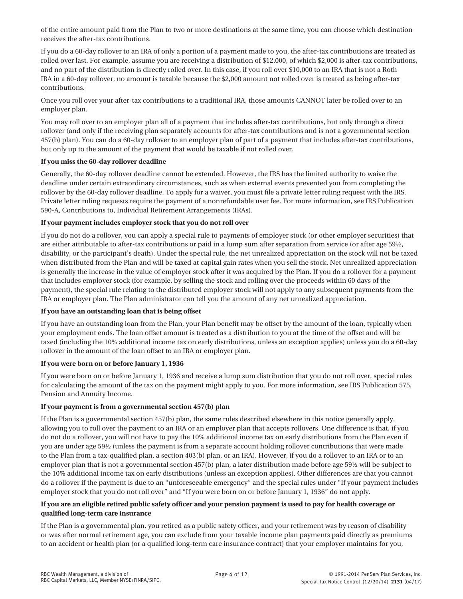of the entire amount paid from the Plan to two or more destinations at the same time, you can choose which destination receives the after-tax contributions.

If you do a 60-day rollover to an IRA of only a portion of a payment made to you, the after-tax contributions are treated as rolled over last. For example, assume you are receiving a distribution of \$12,000, of which \$2,000 is after-tax contributions, and no part of the distribution is directly rolled over. In this case, if you roll over \$10,000 to an IRA that is not a Roth IRA in a 60-day rollover, no amount is taxable because the \$2,000 amount not rolled over is treated as being after-tax contributions.

Once you roll over your after-tax contributions to a traditional IRA, those amounts CANNOT later be rolled over to an employer plan.

You may roll over to an employer plan all of a payment that includes after-tax contributions, but only through a direct rollover (and only if the receiving plan separately accounts for after-tax contributions and is not a governmental section 457(b) plan). You can do a 60-day rollover to an employer plan of part of a payment that includes after-tax contributions, but only up to the amount of the payment that would be taxable if not rolled over.

# **If you miss the 60-day rollover deadline**

Generally, the 60-day rollover deadline cannot be extended. However, the IRS has the limited authority to waive the deadline under certain extraordinary circumstances, such as when external events prevented you from completing the rollover by the 60-day rollover deadline. To apply for a waiver, you must file a private letter ruling request with the IRS. Private letter ruling requests require the payment of a nonrefundable user fee. For more information, see IRS Publication 590-A, Contributions to, Individual Retirement Arrangements (IRAs).

# **If your payment includes employer stock that you do not roll over**

If you do not do a rollover, you can apply a special rule to payments of employer stock (or other employer securities) that are either attributable to after-tax contributions or paid in a lump sum after separation from service (or after age 59½, disability, or the participant's death). Under the special rule, the net unrealized appreciation on the stock will not be taxed when distributed from the Plan and will be taxed at capital gain rates when you sell the stock. Net unrealized appreciation is generally the increase in the value of employer stock after it was acquired by the Plan. If you do a rollover for a payment that includes employer stock (for example, by selling the stock and rolling over the proceeds within 60 days of the payment), the special rule relating to the distributed employer stock will not apply to any subsequent payments from the IRA or employer plan. The Plan administrator can tell you the amount of any net unrealized appreciation.

# **If you have an outstanding loan that is being offset**

If you have an outstanding loan from the Plan, your Plan benefit may be offset by the amount of the loan, typically when your employment ends. The loan offset amount is treated as a distribution to you at the time of the offset and will be taxed (including the 10% additional income tax on early distributions, unless an exception applies) unless you do a 60-day rollover in the amount of the loan offset to an IRA or employer plan.

# **If you were born on or before January 1, 1936**

If you were born on or before January 1, 1936 and receive a lump sum distribution that you do not roll over, special rules for calculating the amount of the tax on the payment might apply to you. For more information, see IRS Publication 575, Pension and Annuity Income.

# **If your payment is from a governmental section 457(b) plan**

If the Plan is a governmental section 457(b) plan, the same rules described elsewhere in this notice generally apply, allowing you to roll over the payment to an IRA or an employer plan that accepts rollovers. One difference is that, if you do not do a rollover, you will not have to pay the 10% additional income tax on early distributions from the Plan even if you are under age 59½ (unless the payment is from a separate account holding rollover contributions that were made to the Plan from a tax-qualified plan, a section 403(b) plan, or an IRA). However, if you do a rollover to an IRA or to an employer plan that is not a governmental section 457(b) plan, a later distribution made before age 59½ will be subject to the 10% additional income tax on early distributions (unless an exception applies). Other differences are that you cannot do a rollover if the payment is due to an "unforeseeable emergency" and the special rules under "If your payment includes employer stock that you do not roll over" and "If you were born on or before January 1, 1936" do not apply.

# **If you are an eligible retired public safety officer and your pension payment is used to pay for health coverage or qualified long-term care insurance**

If the Plan is a governmental plan, you retired as a public safety officer, and your retirement was by reason of disability or was after normal retirement age, you can exclude from your taxable income plan payments paid directly as premiums to an accident or health plan (or a qualified long-term care insurance contract) that your employer maintains for you,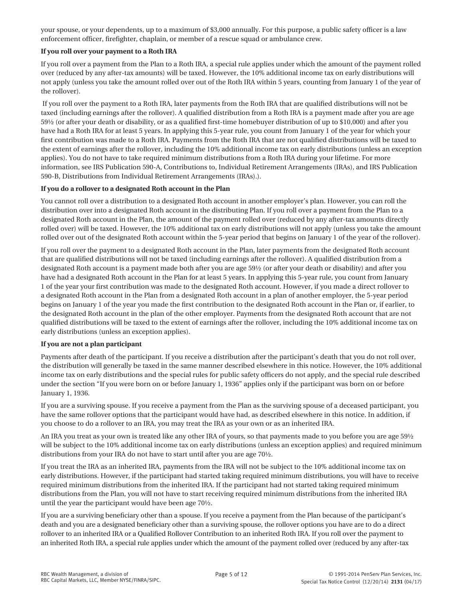your spouse, or your dependents, up to a maximum of \$3,000 annually. For this purpose, a public safety officer is a law enforcement officer, firefighter, chaplain, or member of a rescue squad or ambulance crew.

## **If you roll over your payment to a Roth IRA**

If you roll over a payment from the Plan to a Roth IRA, a special rule applies under which the amount of the payment rolled over (reduced by any after-tax amounts) will be taxed. However, the 10% additional income tax on early distributions will not apply (unless you take the amount rolled over out of the Roth IRA within 5 years, counting from January 1 of the year of the rollover).

 If you roll over the payment to a Roth IRA, later payments from the Roth IRA that are qualified distributions will not be taxed (including earnings after the rollover). A qualified distribution from a Roth IRA is a payment made after you are age 59½ (or after your death or disability, or as a qualified first-time homebuyer distribution of up to \$10,000) and after you have had a Roth IRA for at least 5 years. In applying this 5-year rule, you count from January 1 of the year for which your first contribution was made to a Roth IRA. Payments from the Roth IRA that are not qualified distributions will be taxed to the extent of earnings after the rollover, including the 10% additional income tax on early distributions (unless an exception applies). You do not have to take required minimum distributions from a Roth IRA during your lifetime. For more information, see IRS Publication 590-A, Contributions to, Individual Retirement Arrangements (IRAs), and IRS Publication 590-B, Distributions from Individual Retirement Arrangements (IRAs).).

## **If you do a rollover to a designated Roth account in the Plan**

You cannot roll over a distribution to a designated Roth account in another employer's plan. However, you can roll the distribution over into a designated Roth account in the distributing Plan. If you roll over a payment from the Plan to a designated Roth account in the Plan, the amount of the payment rolled over (reduced by any after-tax amounts directly rolled over) will be taxed. However, the 10% additional tax on early distributions will not apply (unless you take the amount rolled over out of the designated Roth account within the 5-year period that begins on January 1 of the year of the rollover).

If you roll over the payment to a designated Roth account in the Plan, later payments from the designated Roth account that are qualified distributions will not be taxed (including earnings after the rollover). A qualified distribution from a designated Roth account is a payment made both after you are age 59½ (or after your death or disability) and after you have had a designated Roth account in the Plan for at least 5 years. In applying this 5-year rule, you count from January 1 of the year your first contribution was made to the designated Roth account. However, if you made a direct rollover to a designated Roth account in the Plan from a designated Roth account in a plan of another employer, the 5-year period begins on January 1 of the year you made the first contribution to the designated Roth account in the Plan or, if earlier, to the designated Roth account in the plan of the other employer. Payments from the designated Roth account that are not qualified distributions will be taxed to the extent of earnings after the rollover, including the 10% additional income tax on early distributions (unless an exception applies).

#### **If you are not a plan participant**

Payments after death of the participant. If you receive a distribution after the participant's death that you do not roll over, the distribution will generally be taxed in the same manner described elsewhere in this notice. However, the 10% additional income tax on early distributions and the special rules for public safety officers do not apply, and the special rule described under the section "If you were born on or before January 1, 1936" applies only if the participant was born on or before January 1, 1936.

If you are a surviving spouse. If you receive a payment from the Plan as the surviving spouse of a deceased participant, you have the same rollover options that the participant would have had, as described elsewhere in this notice. In addition, if you choose to do a rollover to an IRA, you may treat the IRA as your own or as an inherited IRA.

An IRA you treat as your own is treated like any other IRA of yours, so that payments made to you before you are age 59½ will be subject to the 10% additional income tax on early distributions (unless an exception applies) and required minimum distributions from your IRA do not have to start until after you are age 70½.

If you treat the IRA as an inherited IRA, payments from the IRA will not be subject to the 10% additional income tax on early distributions. However, if the participant had started taking required minimum distributions, you will have to receive required minimum distributions from the inherited IRA. If the participant had not started taking required minimum distributions from the Plan, you will not have to start receiving required minimum distributions from the inherited IRA until the year the participant would have been age 70½.

If you are a surviving beneficiary other than a spouse. If you receive a payment from the Plan because of the participant's death and you are a designated beneficiary other than a surviving spouse, the rollover options you have are to do a direct rollover to an inherited IRA or a Qualified Rollover Contribution to an inherited Roth IRA. If you roll over the payment to an inherited Roth IRA, a special rule applies under which the amount of the payment rolled over (reduced by any after-tax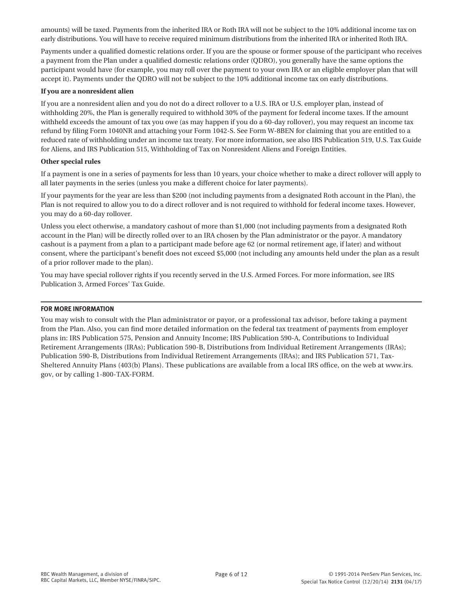amounts) will be taxed. Payments from the inherited IRA or Roth IRA will not be subject to the 10% additional income tax on early distributions. You will have to receive required minimum distributions from the inherited IRA or inherited Roth IRA.

Payments under a qualified domestic relations order. If you are the spouse or former spouse of the participant who receives a payment from the Plan under a qualified domestic relations order (QDRO), you generally have the same options the participant would have (for example, you may roll over the payment to your own IRA or an eligible employer plan that will accept it). Payments under the QDRO will not be subject to the 10% additional income tax on early distributions.

#### **If you are a nonresident alien**

If you are a nonresident alien and you do not do a direct rollover to a U.S. IRA or U.S. employer plan, instead of withholding 20%, the Plan is generally required to withhold 30% of the payment for federal income taxes. If the amount withheld exceeds the amount of tax you owe (as may happen if you do a 60-day rollover), you may request an income tax refund by filing Form 1040NR and attaching your Form 1042-S. See Form W-8BEN for claiming that you are entitled to a reduced rate of withholding under an income tax treaty. For more information, see also IRS Publication 519, U.S. Tax Guide for Aliens, and IRS Publication 515, Withholding of Tax on Nonresident Aliens and Foreign Entities.

#### **Other special rules**

If a payment is one in a series of payments for less than 10 years, your choice whether to make a direct rollover will apply to all later payments in the series (unless you make a different choice for later payments).

If your payments for the year are less than \$200 (not including payments from a designated Roth account in the Plan), the Plan is not required to allow you to do a direct rollover and is not required to withhold for federal income taxes. However, you may do a 60-day rollover.

Unless you elect otherwise, a mandatory cashout of more than \$1,000 (not including payments from a designated Roth account in the Plan) will be directly rolled over to an IRA chosen by the Plan administrator or the payor. A mandatory cashout is a payment from a plan to a participant made before age 62 (or normal retirement age, if later) and without consent, where the participant's benefit does not exceed \$5,000 (not including any amounts held under the plan as a result of a prior rollover made to the plan).

You may have special rollover rights if you recently served in the U.S. Armed Forces. For more information, see IRS Publication 3, Armed Forces' Tax Guide.

#### **FOR MORE INFORMATION**

You may wish to consult with the Plan administrator or payor, or a professional tax advisor, before taking a payment from the Plan. Also, you can find more detailed information on the federal tax treatment of payments from employer plans in: IRS Publication 575, Pension and Annuity Income; IRS Publication 590-A, Contributions to Individual Retirement Arrangements (IRAs); Publication 590-B, Distributions from Individual Retirement Arrangements (IRAs); Publication 590-B, Distributions from Individual Retirement Arrangements (IRAs); and IRS Publication 571, Tax-Sheltered Annuity Plans (403(b) Plans). These publications are available from a local IRS office, on the web at www.irs. gov, or by calling 1-800-TAX-FORM.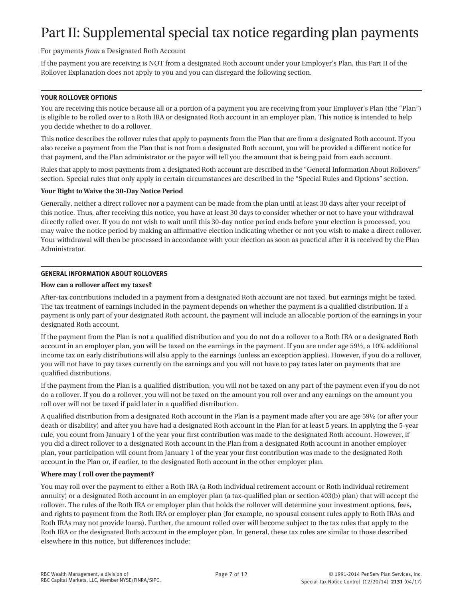# Part II: Supplemental special tax notice regarding plan payments

# For payments *from* a Designated Roth Account

If the payment you are receiving is NOT from a designated Roth account under your Employer's Plan, this Part II of the Rollover Explanation does not apply to you and you can disregard the following section.

## **YOUR ROLLOVER OPTIONS**

You are receiving this notice because all or a portion of a payment you are receiving from your Employer's Plan (the "Plan") is eligible to be rolled over to a Roth IRA or designated Roth account in an employer plan. This notice is intended to help you decide whether to do a rollover.

This notice describes the rollover rules that apply to payments from the Plan that are from a designated Roth account. If you also receive a payment from the Plan that is not from a designated Roth account, you will be provided a different notice for that payment, and the Plan administrator or the payor will tell you the amount that is being paid from each account.

Rules that apply to most payments from a designated Roth account are described in the "General Information About Rollovers" section. Special rules that only apply in certain circumstances are described in the "Special Rules and Options" section.

## **Your Right to Waive the 30-Day Notice Period**

Generally, neither a direct rollover nor a payment can be made from the plan until at least 30 days after your receipt of this notice. Thus, after receiving this notice, you have at least 30 days to consider whether or not to have your withdrawal directly rolled over. If you do not wish to wait until this 30-day notice period ends before your election is processed, you may waive the notice period by making an affirmative election indicating whether or not you wish to make a direct rollover. Your withdrawal will then be processed in accordance with your election as soon as practical after it is received by the Plan Administrator.

# **GENERAL INFORMATION ABOUT ROLLOVERS**

## **How can a rollover affect my taxes?**

After-tax contributions included in a payment from a designated Roth account are not taxed, but earnings might be taxed. The tax treatment of earnings included in the payment depends on whether the payment is a qualified distribution. If a payment is only part of your designated Roth account, the payment will include an allocable portion of the earnings in your designated Roth account.

If the payment from the Plan is not a qualified distribution and you do not do a rollover to a Roth IRA or a designated Roth account in an employer plan, you will be taxed on the earnings in the payment. If you are under age 59½, a 10% additional income tax on early distributions will also apply to the earnings (unless an exception applies). However, if you do a rollover, you will not have to pay taxes currently on the earnings and you will not have to pay taxes later on payments that are qualified distributions.

If the payment from the Plan is a qualified distribution, you will not be taxed on any part of the payment even if you do not do a rollover. If you do a rollover, you will not be taxed on the amount you roll over and any earnings on the amount you roll over will not be taxed if paid later in a qualified distribution.

A qualified distribution from a designated Roth account in the Plan is a payment made after you are age 59½ (or after your death or disability) and after you have had a designated Roth account in the Plan for at least 5 years. In applying the 5-year rule, you count from January 1 of the year your first contribution was made to the designated Roth account. However, if you did a direct rollover to a designated Roth account in the Plan from a designated Roth account in another employer plan, your participation will count from January 1 of the year your first contribution was made to the designated Roth account in the Plan or, if earlier, to the designated Roth account in the other employer plan.

# **Where may I roll over the payment?**

You may roll over the payment to either a Roth IRA (a Roth individual retirement account or Roth individual retirement annuity) or a designated Roth account in an employer plan (a tax-qualified plan or section 403(b) plan) that will accept the rollover. The rules of the Roth IRA or employer plan that holds the rollover will determine your investment options, fees, and rights to payment from the Roth IRA or employer plan (for example, no spousal consent rules apply to Roth IRAs and Roth IRAs may not provide loans). Further, the amount rolled over will become subject to the tax rules that apply to the Roth IRA or the designated Roth account in the employer plan. In general, these tax rules are similar to those described elsewhere in this notice, but differences include: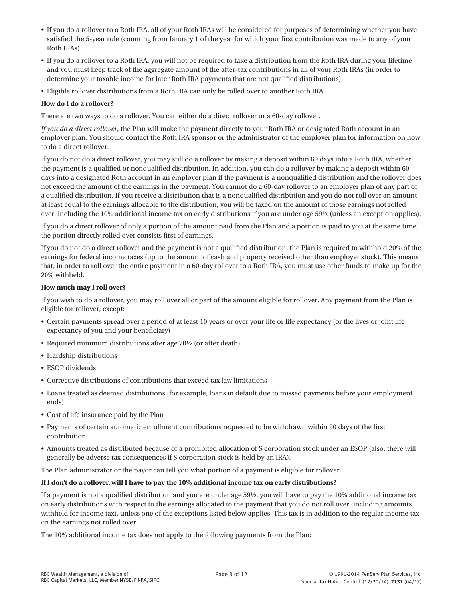- If you do a rollover to a Roth IRA, all of your Roth IRAs will be considered for purposes of determining whether you have satisfied the 5-year rule (counting from January 1 of the year for which your first contribution was made to any of your Roth IRAs).
- If you do a rollover to a Roth IRA, you will not be required to take a distribution from the Roth IRA during your lifetime and you must keep track of the aggregate amount of the after-tax contributions in all of your Roth IRAs (in order to determine your taxable income for later Roth IRA payments that are not qualified distributions).
- Eligible rollover distributions from a Roth IRA can only be rolled over to another Roth IRA.

## **How do I do a rollover?**

There are two ways to do a rollover. You can either do a direct rollover or a 60-day rollover.

*If you do a direct rollover*, the Plan will make the payment directly to your Roth IRA or designated Roth account in an employer plan. You should contact the Roth IRA sponsor or the administrator of the employer plan for information on how to do a direct rollover.

If you do not do a direct rollover, you may still do a rollover by making a deposit within 60 days into a Roth IRA, whether the payment is a qualified or nonqualified distribution. In addition, you can do a rollover by making a deposit within 60 days into a designated Roth account in an employer plan if the payment is a nonqualified distribution and the rollover does not exceed the amount of the earnings in the payment. You cannot do a 60-day rollover to an employer plan of any part of a qualified distribution. If you receive a distribution that is a nonqualified distribution and you do not roll over an amount at least equal to the earnings allocable to the distribution, you will be taxed on the amount of those earnings not rolled over, including the 10% additional income tax on early distributions if you are under age 59½ (unless an exception applies).

If you do a direct rollover of only a portion of the amount paid from the Plan and a portion is paid to you at the same time, the portion directly rolled over consists first of earnings.

If you do not do a direct rollover and the payment is not a qualified distribution, the Plan is required to withhold 20% of the earnings for federal income taxes (up to the amount of cash and property received other than employer stock). This means that, in order to roll over the entire payment in a 60-day rollover to a Roth IRA, you must use other funds to make up for the 20% withheld.

## **How much may I roll over?**

If you wish to do a rollover, you may roll over all or part of the amount eligible for rollover. Any payment from the Plan is eligible for rollover, except:

- Certain payments spread over a period of at least 10 years or over your life or life expectancy (or the lives or joint life expectancy of you and your beneficiary)
- Required minimum distributions after age 70½ (or after death)
- Hardship distributions
- ESOP dividends
- Corrective distributions of contributions that exceed tax law limitations
- Loans treated as deemed distributions (for example, loans in default due to missed payments before your employment ends)
- Cost of life insurance paid by the Plan
- Payments of certain automatic enrollment contributions requested to be withdrawn within 90 days of the first contribution
- Amounts treated as distributed because of a prohibited allocation of S corporation stock under an ESOP (also, there will generally be adverse tax consequences if S corporation stock is held by an IRA).

The Plan administrator or the payor can tell you what portion of a payment is eligible for rollover.

#### **If I don't do a rollover, will I have to pay the 10% additional income tax on early distributions?**

If a payment is not a qualified distribution and you are under age 59½, you will have to pay the 10% additional income tax on early distributions with respect to the earnings allocated to the payment that you do not roll over (including amounts withheld for income tax), unless one of the exceptions listed below applies. This tax is in addition to the regular income tax on the earnings not rolled over.

The 10% additional income tax does not apply to the following payments from the Plan: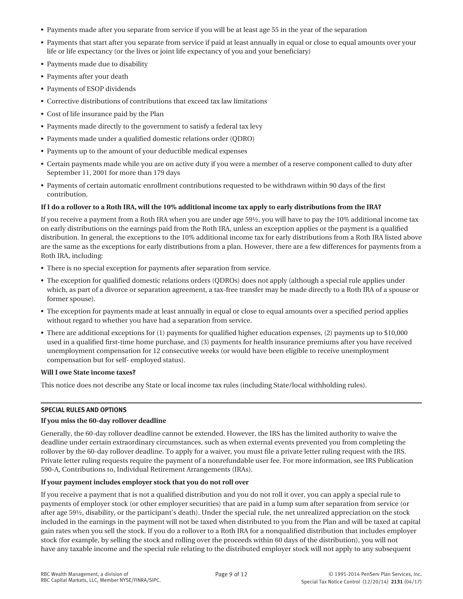- Payments made after you separate from service if you will be at least age 55 in the year of the separation
- Payments that start after you separate from service if paid at least annually in equal or close to equal amounts over your life or life expectancy (or the lives or joint life expectancy of you and your beneficiary)
- Payments made due to disability
- Payments after your death
- Payments of ESOP dividends
- Corrective distributions of contributions that exceed tax law limitations
- Cost of life insurance paid by the Plan
- Payments made directly to the government to satisfy a federal tax levy
- Payments made under a qualified domestic relations order (QDRO)
- Payments up to the amount of your deductible medical expenses
- Certain payments made while you are on active duty if you were a member of a reserve component called to duty after September 11, 2001 for more than 179 days
- Payments of certain automatic enrollment contributions requested to be withdrawn within 90 days of the first contribution.

# **If I do a rollover to a Roth IRA, will the 10% additional income tax apply to early distributions from the IRA?**

If you receive a payment from a Roth IRA when you are under age 59½, you will have to pay the 10% additional income tax on early distributions on the earnings paid from the Roth IRA, unless an exception applies or the payment is a qualified distribution. In general, the exceptions to the 10% additional income tax for early distributions from a Roth IRA listed above are the same as the exceptions for early distributions from a plan. However, there are a few differences for payments from a Roth IRA, including:

- There is no special exception for payments after separation from service.
- The exception for qualified domestic relations orders (QDROs) does not apply (although a special rule applies under which, as part of a divorce or separation agreement, a tax-free transfer may be made directly to a Roth IRA of a spouse or former spouse).
- The exception for payments made at least annually in equal or close to equal amounts over a specified period applies without regard to whether you have had a separation from service.
- There are additional exceptions for (1) payments for qualified higher education expenses, (2) payments up to \$10,000 used in a qualified first-time home purchase, and (3) payments for health insurance premiums after you have received unemployment compensation for 12 consecutive weeks (or would have been eligible to receive unemployment compensation but for self- employed status).

# **Will I owe State income taxes?**

This notice does not describe any State or local income tax rules (including State/local withholding rules).

# **SPECIAL RULES AND OPTIONS**

# **If you miss the 60-day rollover deadline**

Generally, the 60-day rollover deadline cannot be extended. However, the IRS has the limited authority to waive the deadline under certain extraordinary circumstances, such as when external events prevented you from completing the rollover by the 60-day rollover deadline. To apply for a waiver, you must file a private letter ruling request with the IRS. Private letter ruling requests require the payment of a nonrefundable user fee. For more information, see IRS Publication 590-A, Contributions to, Individual Retirement Arrangements (IRAs).

# **If your payment includes employer stock that you do not roll over**

If you receive a payment that is not a qualified distribution and you do not roll it over, you can apply a special rule to payments of employer stock (or other employer securities) that are paid in a lump sum after separation from service (or after age 59½, disability, or the participant's death). Under the special rule, the net unrealized appreciation on the stock included in the earnings in the payment will not be taxed when distributed to you from the Plan and will be taxed at capital gain rates when you sell the stock. If you do a rollover to a Roth IRA for a nonqualified distribution that includes employer stock (for example, by selling the stock and rolling over the proceeds within 60 days of the distribution), you will not have any taxable income and the special rule relating to the distributed employer stock will not apply to any subsequent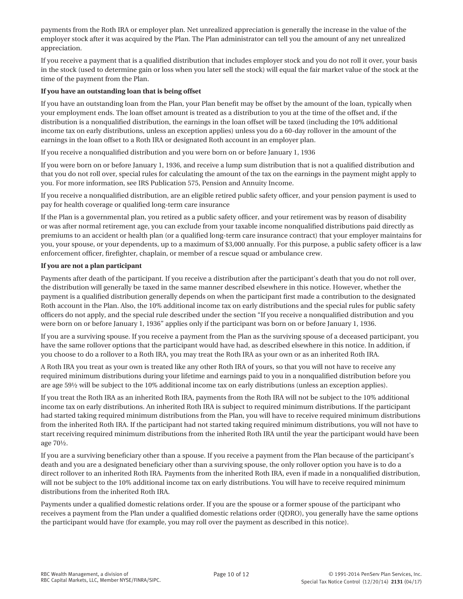payments from the Roth IRA or employer plan. Net unrealized appreciation is generally the increase in the value of the employer stock after it was acquired by the Plan. The Plan administrator can tell you the amount of any net unrealized appreciation.

If you receive a payment that is a qualified distribution that includes employer stock and you do not roll it over, your basis in the stock (used to determine gain or loss when you later sell the stock) will equal the fair market value of the stock at the time of the payment from the Plan.

## **If you have an outstanding loan that is being offset**

If you have an outstanding loan from the Plan, your Plan benefit may be offset by the amount of the loan, typically when your employment ends. The loan offset amount is treated as a distribution to you at the time of the offset and, if the distribution is a nonqualified distribution, the earnings in the loan offset will be taxed (including the 10% additional income tax on early distributions, unless an exception applies) unless you do a 60-day rollover in the amount of the earnings in the loan offset to a Roth IRA or designated Roth account in an employer plan.

If you receive a nonqualified distribution and you were born on or before January 1, 1936

If you were born on or before January 1, 1936, and receive a lump sum distribution that is not a qualified distribution and that you do not roll over, special rules for calculating the amount of the tax on the earnings in the payment might apply to you. For more information, see IRS Publication 575, Pension and Annuity Income.

If you receive a nonqualified distribution, are an eligible retired public safety officer, and your pension payment is used to pay for health coverage or qualified long-term care insurance

If the Plan is a governmental plan, you retired as a public safety officer, and your retirement was by reason of disability or was after normal retirement age, you can exclude from your taxable income nonqualified distributions paid directly as premiums to an accident or health plan (or a qualified long-term care insurance contract) that your employer maintains for you, your spouse, or your dependents, up to a maximum of \$3,000 annually. For this purpose, a public safety officer is a law enforcement officer, firefighter, chaplain, or member of a rescue squad or ambulance crew.

## **If you are not a plan participant**

Payments after death of the participant. If you receive a distribution after the participant's death that you do not roll over, the distribution will generally be taxed in the same manner described elsewhere in this notice. However, whether the payment is a qualified distribution generally depends on when the participant first made a contribution to the designated Roth account in the Plan. Also, the 10% additional income tax on early distributions and the special rules for public safety officers do not apply, and the special rule described under the section "If you receive a nonqualified distribution and you were born on or before January 1, 1936" applies only if the participant was born on or before January 1, 1936.

If you are a surviving spouse. If you receive a payment from the Plan as the surviving spouse of a deceased participant, you have the same rollover options that the participant would have had, as described elsewhere in this notice. In addition, if you choose to do a rollover to a Roth IRA, you may treat the Roth IRA as your own or as an inherited Roth IRA.

A Roth IRA you treat as your own is treated like any other Roth IRA of yours, so that you will not have to receive any required minimum distributions during your lifetime and earnings paid to you in a nonqualified distribution before you are age 59½ will be subject to the 10% additional income tax on early distributions (unless an exception applies).

If you treat the Roth IRA as an inherited Roth IRA, payments from the Roth IRA will not be subject to the 10% additional income tax on early distributions. An inherited Roth IRA is subject to required minimum distributions. If the participant had started taking required minimum distributions from the Plan, you will have to receive required minimum distributions from the inherited Roth IRA. If the participant had not started taking required minimum distributions, you will not have to start receiving required minimum distributions from the inherited Roth IRA until the year the participant would have been age 70½.

If you are a surviving beneficiary other than a spouse. If you receive a payment from the Plan because of the participant's death and you are a designated beneficiary other than a surviving spouse, the only rollover option you have is to do a direct rollover to an inherited Roth IRA. Payments from the inherited Roth IRA, even if made in a nonqualified distribution, will not be subject to the 10% additional income tax on early distributions. You will have to receive required minimum distributions from the inherited Roth IRA.

Payments under a qualified domestic relations order. If you are the spouse or a former spouse of the participant who receives a payment from the Plan under a qualified domestic relations order (QDRO), you generally have the same options the participant would have (for example, you may roll over the payment as described in this notice).